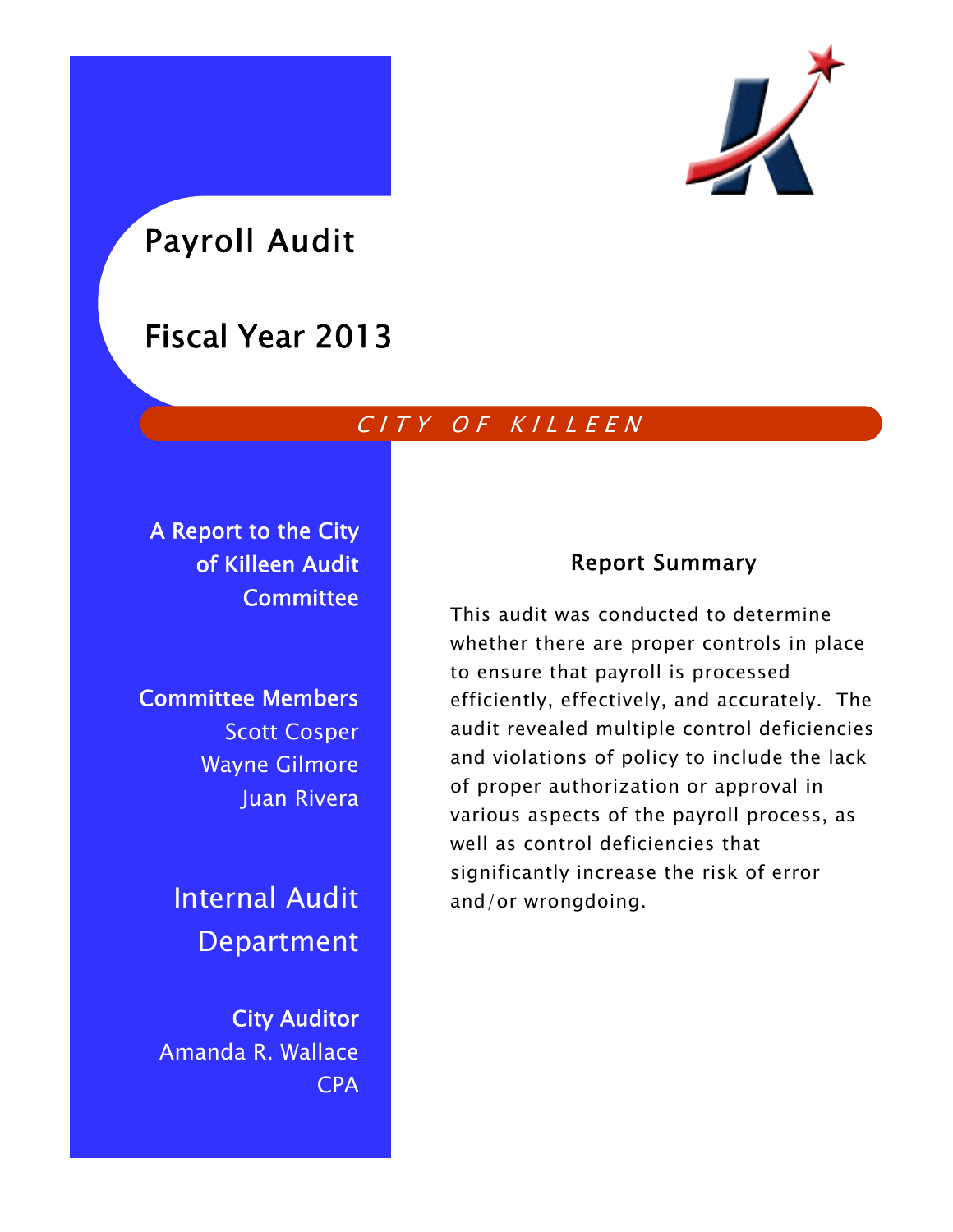

# Payroll Audit

## Fiscal Year 2013

## CITY OF KILLEEN

A Report to the City of Killeen Audit **Committee** 

Committee Members Scott Cosper Wayne Gilmore Juan Rivera

> Internal Audit Department

City Auditor Amanda R. Wallace CPA

## Report Summary

This audit was conducted to determine whether there are proper controls in place to ensure that payroll is processed efficiently, effectively, and accurately. The audit revealed multiple control deficiencies and violations of policy to include the lack of proper authorization or approval in various aspects of the payroll process, as well as control deficiencies that significantly increase the risk of error and/or wrongdoing.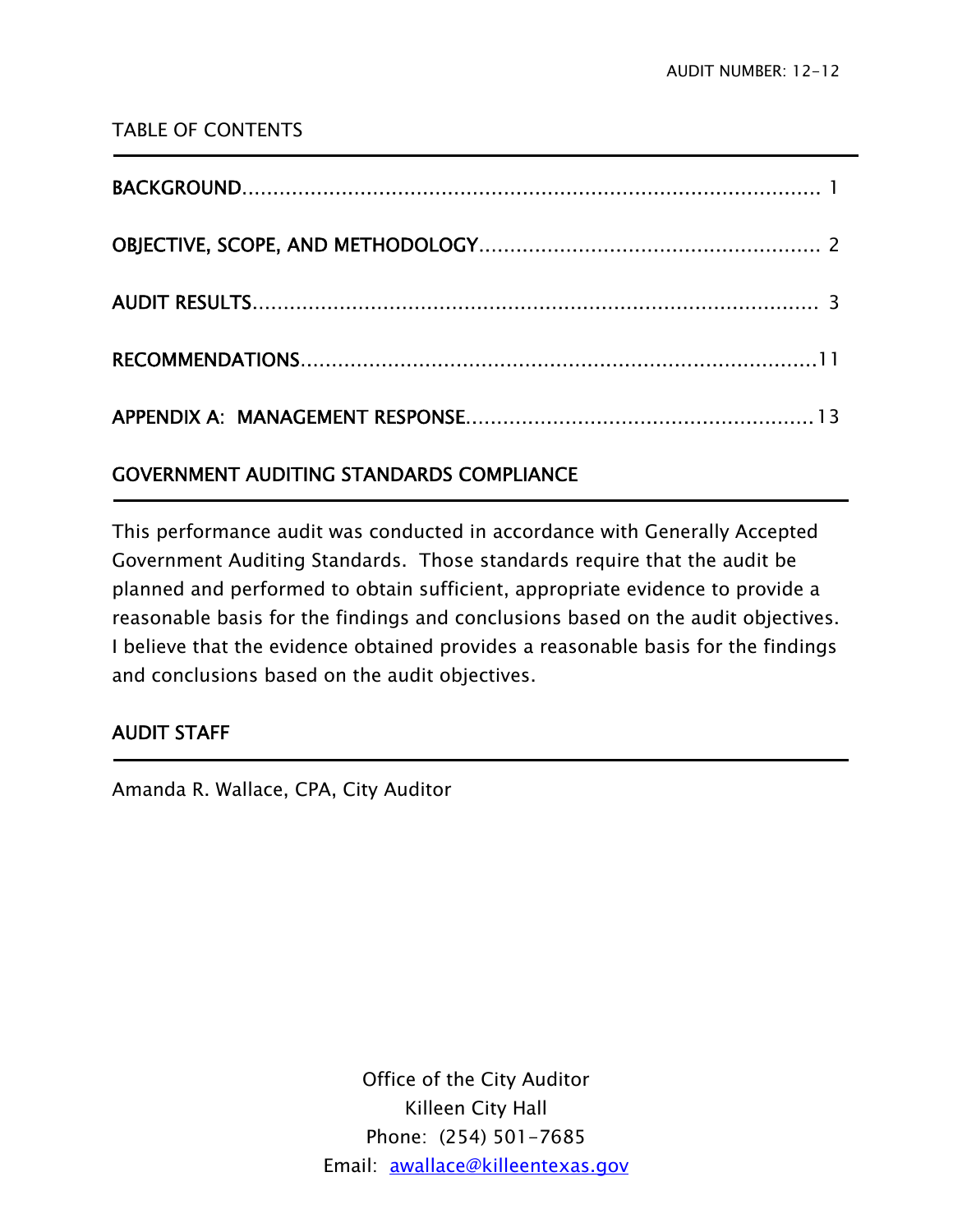### TABLE OF CONTENTS

### GOVERNMENT AUDITING STANDARDS COMPLIANCE

This performance audit was conducted in accordance with Generally Accepted Government Auditing Standards. Those standards require that the audit be planned and performed to obtain sufficient, appropriate evidence to provide a reasonable basis for the findings and conclusions based on the audit objectives. I believe that the evidence obtained provides a reasonable basis for the findings and conclusions based on the audit objectives.

### AUDIT STAFF

j

j

Amanda R. Wallace, CPA, City Auditor

Office of the City Auditor Killeen City Hall Phone: (254) 501-7685 Email: awallace@killeentexas.gov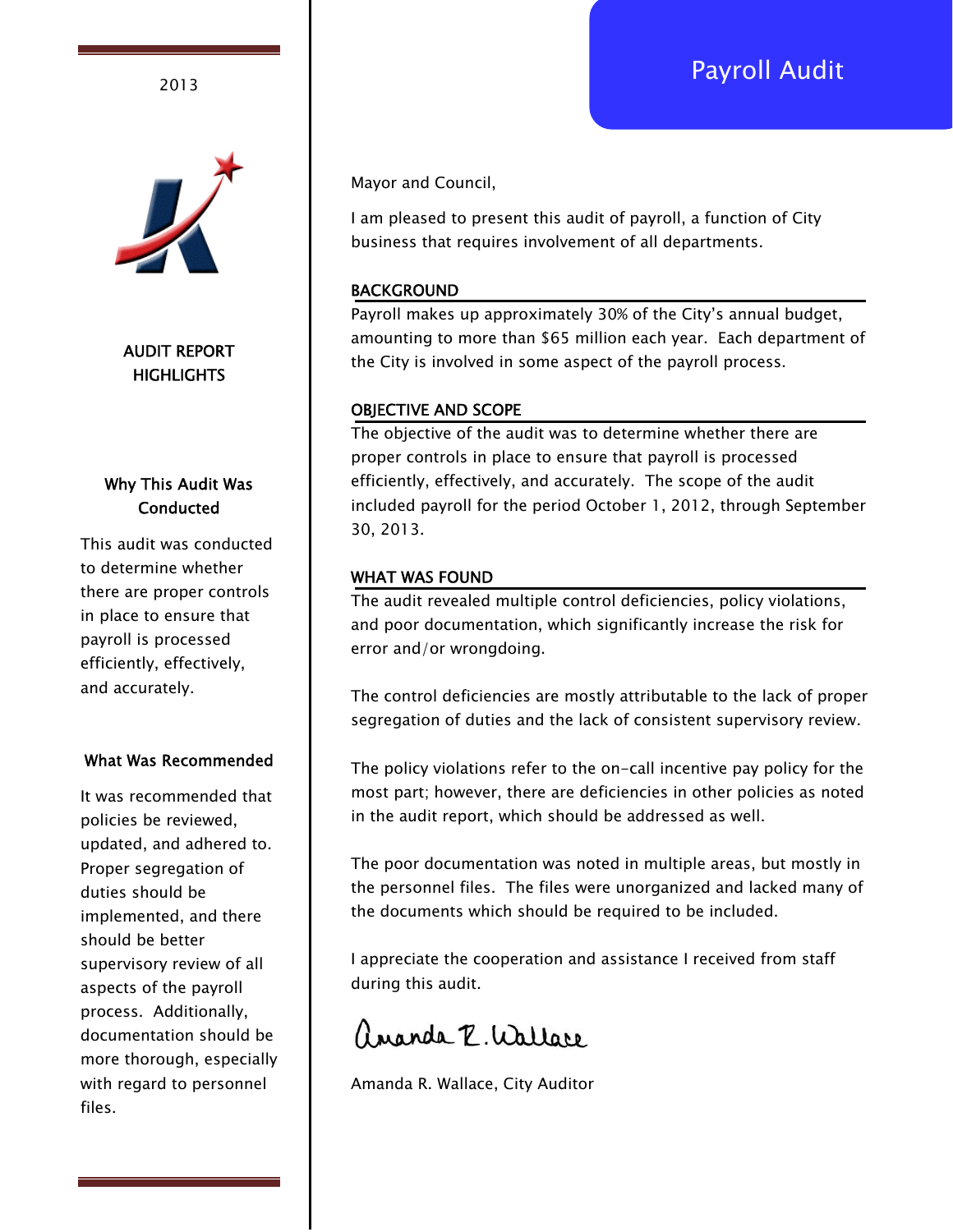## Payroll Audit <sup>2013</sup>



AUDIT REPORT **HIGHLIGHTS** 

### Why This Audit Was **Conducted**

This audit was conducted to determine whether there are proper controls in place to ensure that payroll is processed efficiently, effectively, and accurately.

#### What Was Recommended

It was recommended that policies be reviewed, updated, and adhered to. Proper segregation of duties should be implemented, and there should be better supervisory review of all aspects of the payroll process. Additionally, documentation should be more thorough, especially with regard to personnel files.

Mayor and Council,

I am pleased to present this audit of payroll, a function of City business that requires involvement of all departments.

#### **BACKGROUND**

Payroll makes up approximately 30% of the City's annual budget, amounting to more than \$65 million each year. Each department of the City is involved in some aspect of the payroll process.

#### OBJECTIVE AND SCOPE

The objective of the audit was to determine whether there are proper controls in place to ensure that payroll is processed efficiently, effectively, and accurately. The scope of the audit included payroll for the period October 1, 2012, through September 30, 2013.

#### WHAT WAS FOUND

The audit revealed multiple control deficiencies, policy violations, and poor documentation, which significantly increase the risk for error and/or wrongdoing.

The control deficiencies are mostly attributable to the lack of proper segregation of duties and the lack of consistent supervisory review.

The policy violations refer to the on-call incentive pay policy for the most part; however, there are deficiencies in other policies as noted in the audit report, which should be addressed as well.

The poor documentation was noted in multiple areas, but mostly in the personnel files. The files were unorganized and lacked many of the documents which should be required to be included.

I appreciate the cooperation and assistance I received from staff during this audit.

ananda R. Wallace

Amanda R. Wallace, City Auditor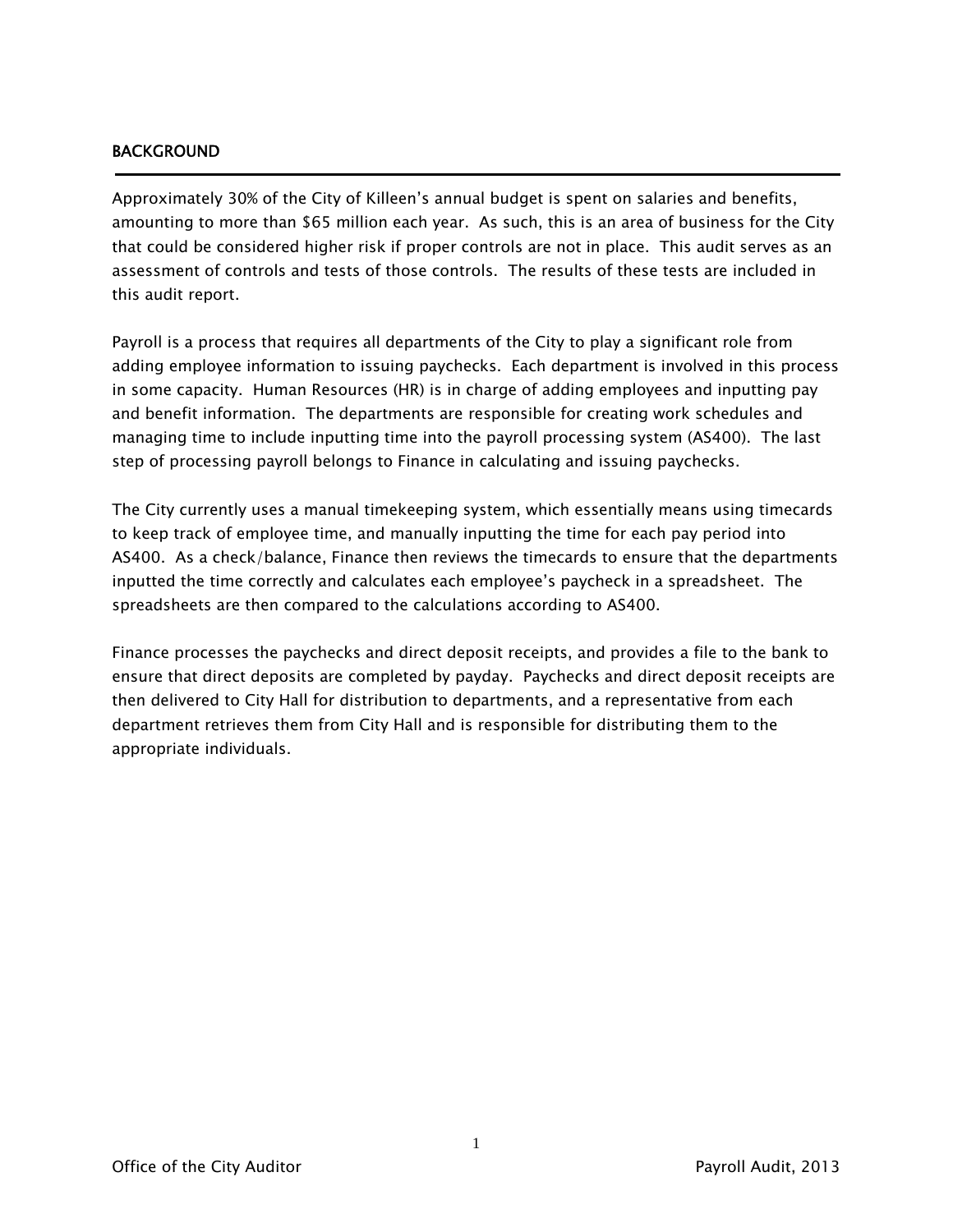#### BACKGROUND

j

Approximately 30% of the City of Killeen's annual budget is spent on salaries and benefits, amounting to more than \$65 million each year. As such, this is an area of business for the City that could be considered higher risk if proper controls are not in place. This audit serves as an assessment of controls and tests of those controls. The results of these tests are included in this audit report.

Payroll is a process that requires all departments of the City to play a significant role from adding employee information to issuing paychecks. Each department is involved in this process in some capacity. Human Resources (HR) is in charge of adding employees and inputting pay and benefit information. The departments are responsible for creating work schedules and managing time to include inputting time into the payroll processing system (AS400). The last step of processing payroll belongs to Finance in calculating and issuing paychecks.

The City currently uses a manual timekeeping system, which essentially means using timecards to keep track of employee time, and manually inputting the time for each pay period into AS400. As a check/balance, Finance then reviews the timecards to ensure that the departments inputted the time correctly and calculates each employee's paycheck in a spreadsheet. The spreadsheets are then compared to the calculations according to AS400.

Finance processes the paychecks and direct deposit receipts, and provides a file to the bank to ensure that direct deposits are completed by payday. Paychecks and direct deposit receipts are then delivered to City Hall for distribution to departments, and a representative from each department retrieves them from City Hall and is responsible for distributing them to the appropriate individuals.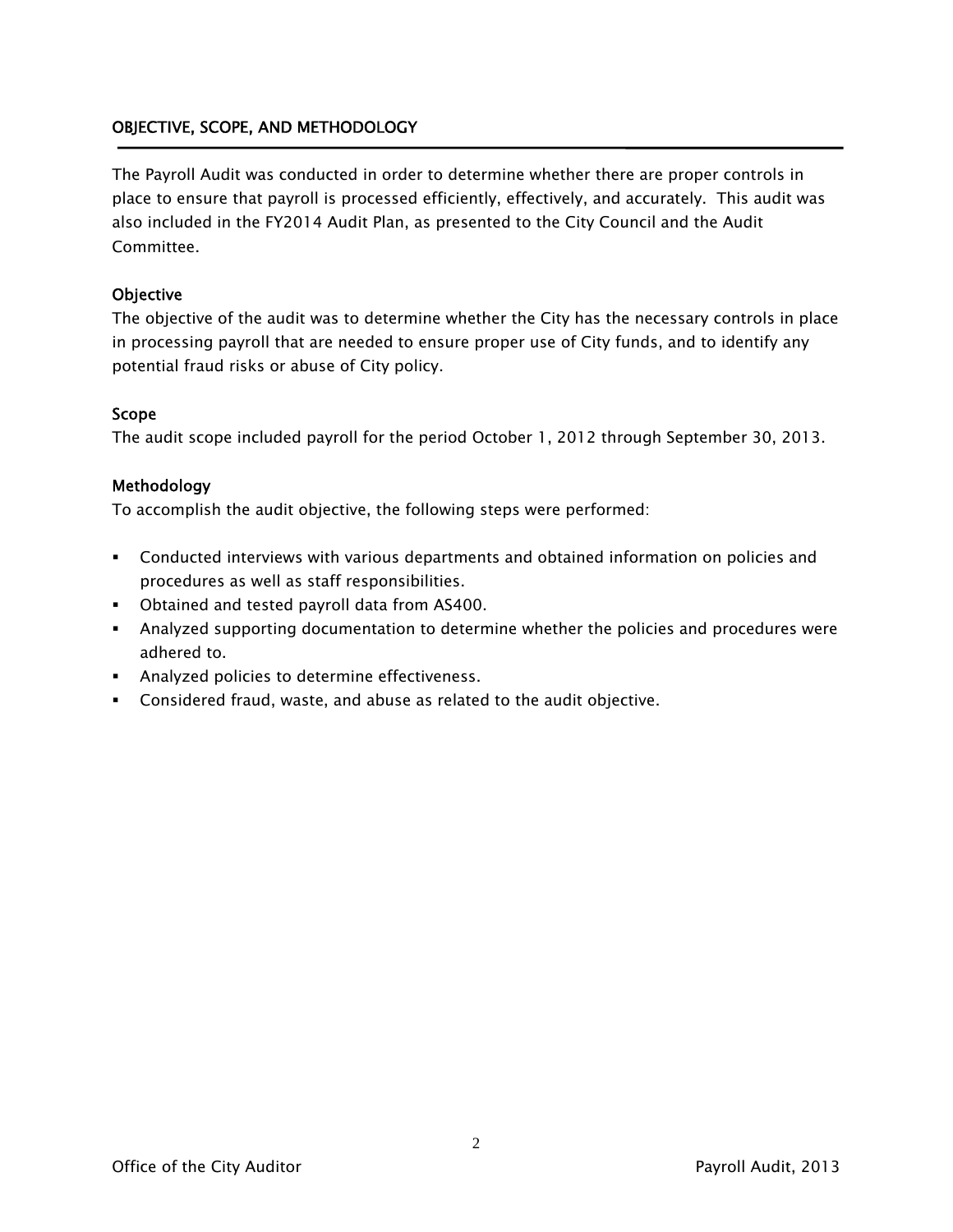#### OBJECTIVE, SCOPE, AND METHODOLOGY

The Payroll Audit was conducted in order to determine whether there are proper controls in place to ensure that payroll is processed efficiently, effectively, and accurately. This audit was also included in the FY2014 Audit Plan, as presented to the City Council and the Audit Committee.

#### **Objective**

The objective of the audit was to determine whether the City has the necessary controls in place in processing payroll that are needed to ensure proper use of City funds, and to identify any potential fraud risks or abuse of City policy.

#### Scope

The audit scope included payroll for the period October 1, 2012 through September 30, 2013.

#### Methodology

To accomplish the audit objective, the following steps were performed:

- Conducted interviews with various departments and obtained information on policies and procedures as well as staff responsibilities.
- Obtained and tested payroll data from AS400.
- Analyzed supporting documentation to determine whether the policies and procedures were adhered to.
- **Analyzed policies to determine effectiveness.**
- Considered fraud, waste, and abuse as related to the audit objective.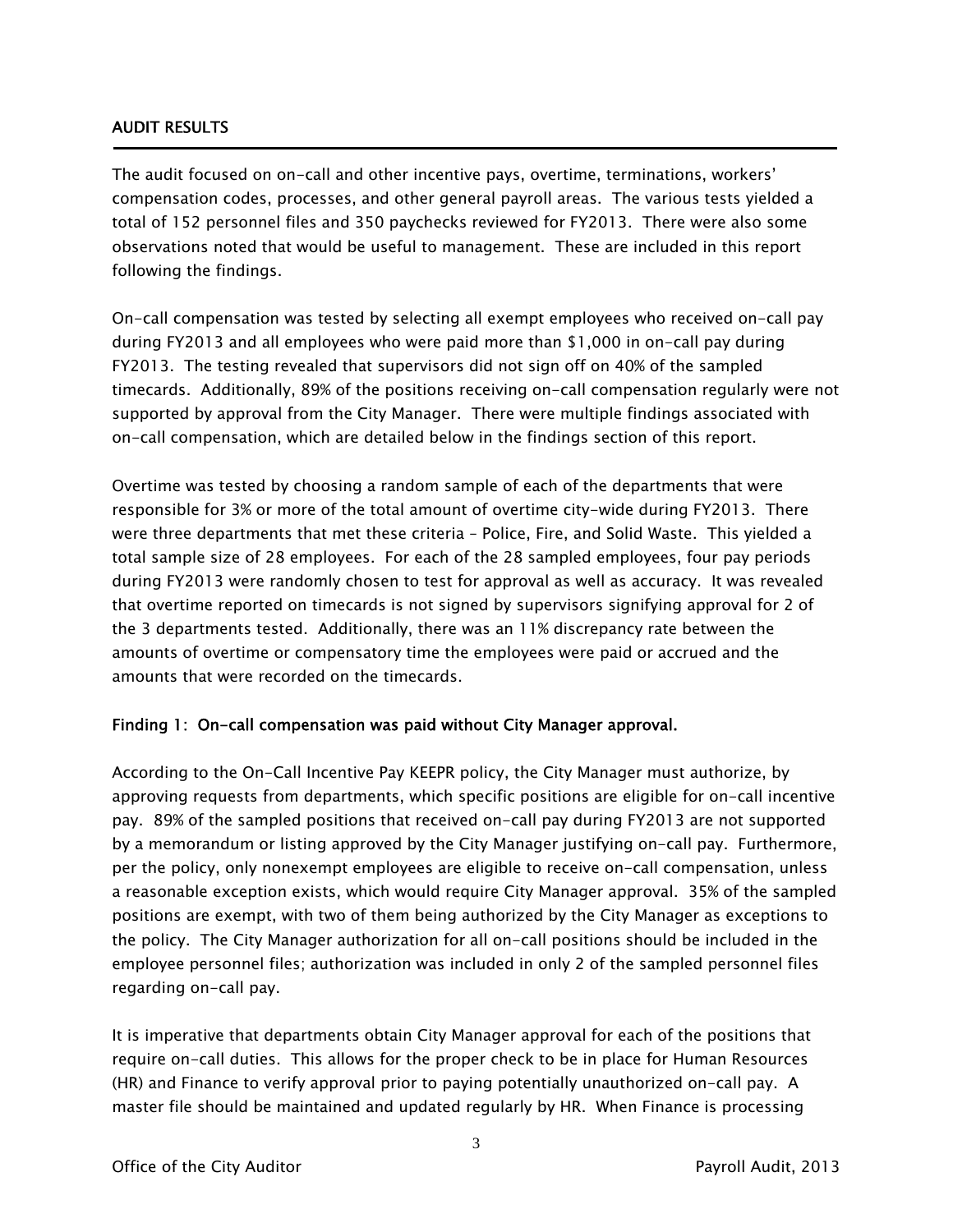#### AUDIT RESULTS

Ī

The audit focused on on-call and other incentive pays, overtime, terminations, workers' compensation codes, processes, and other general payroll areas. The various tests yielded a total of 152 personnel files and 350 paychecks reviewed for FY2013. There were also some observations noted that would be useful to management. These are included in this report following the findings.

On-call compensation was tested by selecting all exempt employees who received on-call pay during FY2013 and all employees who were paid more than \$1,000 in on-call pay during FY2013. The testing revealed that supervisors did not sign off on 40% of the sampled timecards. Additionally, 89% of the positions receiving on-call compensation regularly were not supported by approval from the City Manager. There were multiple findings associated with on-call compensation, which are detailed below in the findings section of this report.

Overtime was tested by choosing a random sample of each of the departments that were responsible for 3% or more of the total amount of overtime city-wide during FY2013. There were three departments that met these criteria – Police, Fire, and Solid Waste. This yielded a total sample size of 28 employees. For each of the 28 sampled employees, four pay periods during FY2013 were randomly chosen to test for approval as well as accuracy. It was revealed that overtime reported on timecards is not signed by supervisors signifying approval for 2 of the 3 departments tested. Additionally, there was an 11% discrepancy rate between the amounts of overtime or compensatory time the employees were paid or accrued and the amounts that were recorded on the timecards.

#### Finding 1: On-call compensation was paid without City Manager approval.

According to the On-Call Incentive Pay KEEPR policy, the City Manager must authorize, by approving requests from departments, which specific positions are eligible for on-call incentive pay. 89% of the sampled positions that received on-call pay during FY2013 are not supported by a memorandum or listing approved by the City Manager justifying on-call pay. Furthermore, per the policy, only nonexempt employees are eligible to receive on-call compensation, unless a reasonable exception exists, which would require City Manager approval. 35% of the sampled positions are exempt, with two of them being authorized by the City Manager as exceptions to the policy. The City Manager authorization for all on-call positions should be included in the employee personnel files; authorization was included in only 2 of the sampled personnel files regarding on-call pay.

It is imperative that departments obtain City Manager approval for each of the positions that require on-call duties. This allows for the proper check to be in place for Human Resources (HR) and Finance to verify approval prior to paying potentially unauthorized on-call pay. A master file should be maintained and updated regularly by HR. When Finance is processing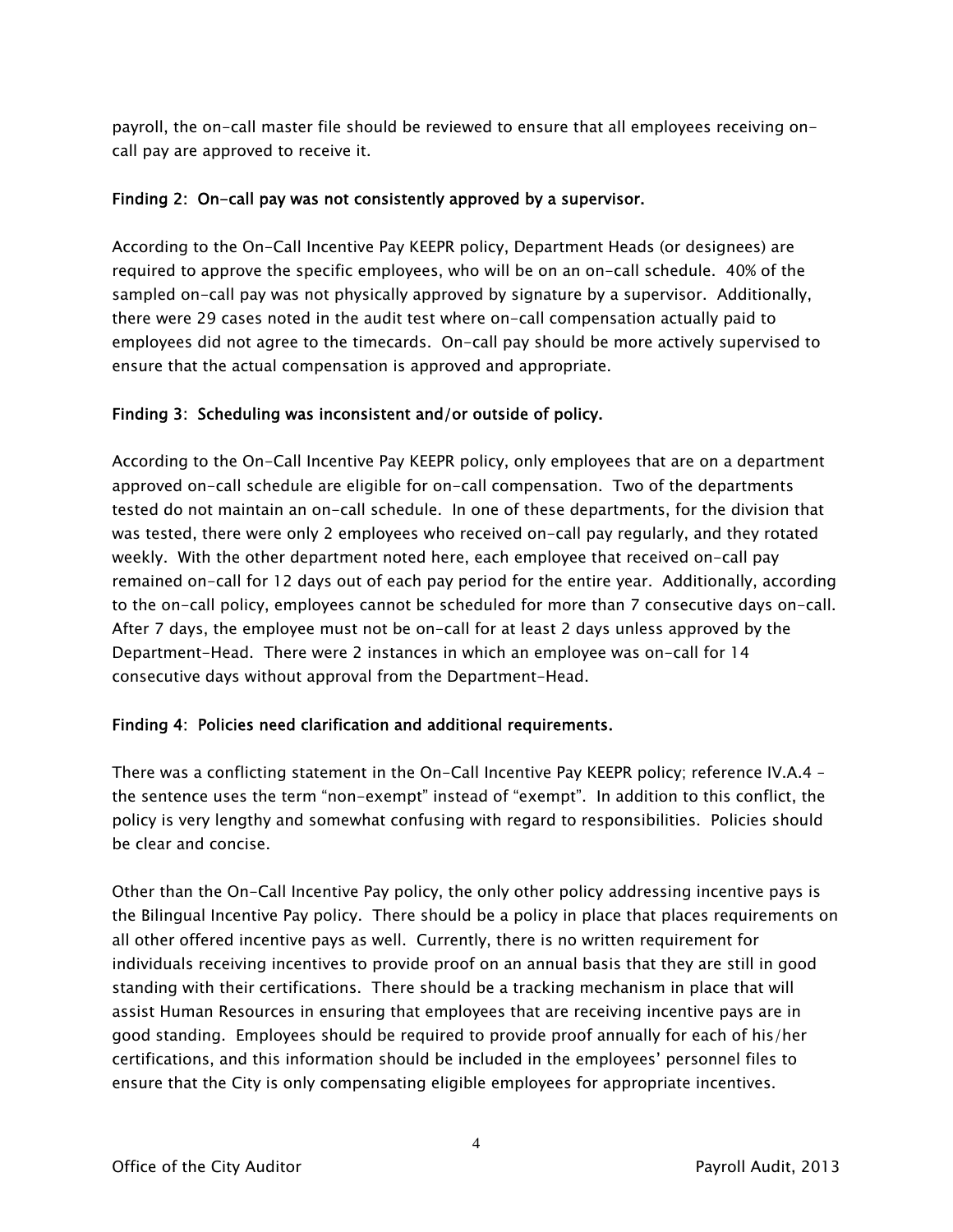payroll, the on-call master file should be reviewed to ensure that all employees receiving oncall pay are approved to receive it.

#### Finding 2: On-call pay was not consistently approved by a supervisor.

According to the On-Call Incentive Pay KEEPR policy, Department Heads (or designees) are required to approve the specific employees, who will be on an on-call schedule. 40% of the sampled on-call pay was not physically approved by signature by a supervisor. Additionally, there were 29 cases noted in the audit test where on-call compensation actually paid to employees did not agree to the timecards. On-call pay should be more actively supervised to ensure that the actual compensation is approved and appropriate.

#### Finding 3: Scheduling was inconsistent and/or outside of policy.

According to the On-Call Incentive Pay KEEPR policy, only employees that are on a department approved on-call schedule are eligible for on-call compensation. Two of the departments tested do not maintain an on-call schedule. In one of these departments, for the division that was tested, there were only 2 employees who received on-call pay regularly, and they rotated weekly. With the other department noted here, each employee that received on-call pay remained on-call for 12 days out of each pay period for the entire year. Additionally, according to the on-call policy, employees cannot be scheduled for more than 7 consecutive days on-call. After 7 days, the employee must not be on-call for at least 2 days unless approved by the Department-Head. There were 2 instances in which an employee was on-call for 14 consecutive days without approval from the Department-Head.

#### Finding 4: Policies need clarification and additional requirements.

There was a conflicting statement in the On-Call Incentive Pay KEEPR policy; reference IV.A.4 – the sentence uses the term "non-exempt" instead of "exempt". In addition to this conflict, the policy is very lengthy and somewhat confusing with regard to responsibilities. Policies should be clear and concise.

Other than the On-Call Incentive Pay policy, the only other policy addressing incentive pays is the Bilingual Incentive Pay policy. There should be a policy in place that places requirements on all other offered incentive pays as well. Currently, there is no written requirement for individuals receiving incentives to provide proof on an annual basis that they are still in good standing with their certifications. There should be a tracking mechanism in place that will assist Human Resources in ensuring that employees that are receiving incentive pays are in good standing. Employees should be required to provide proof annually for each of his/her certifications, and this information should be included in the employees' personnel files to ensure that the City is only compensating eligible employees for appropriate incentives.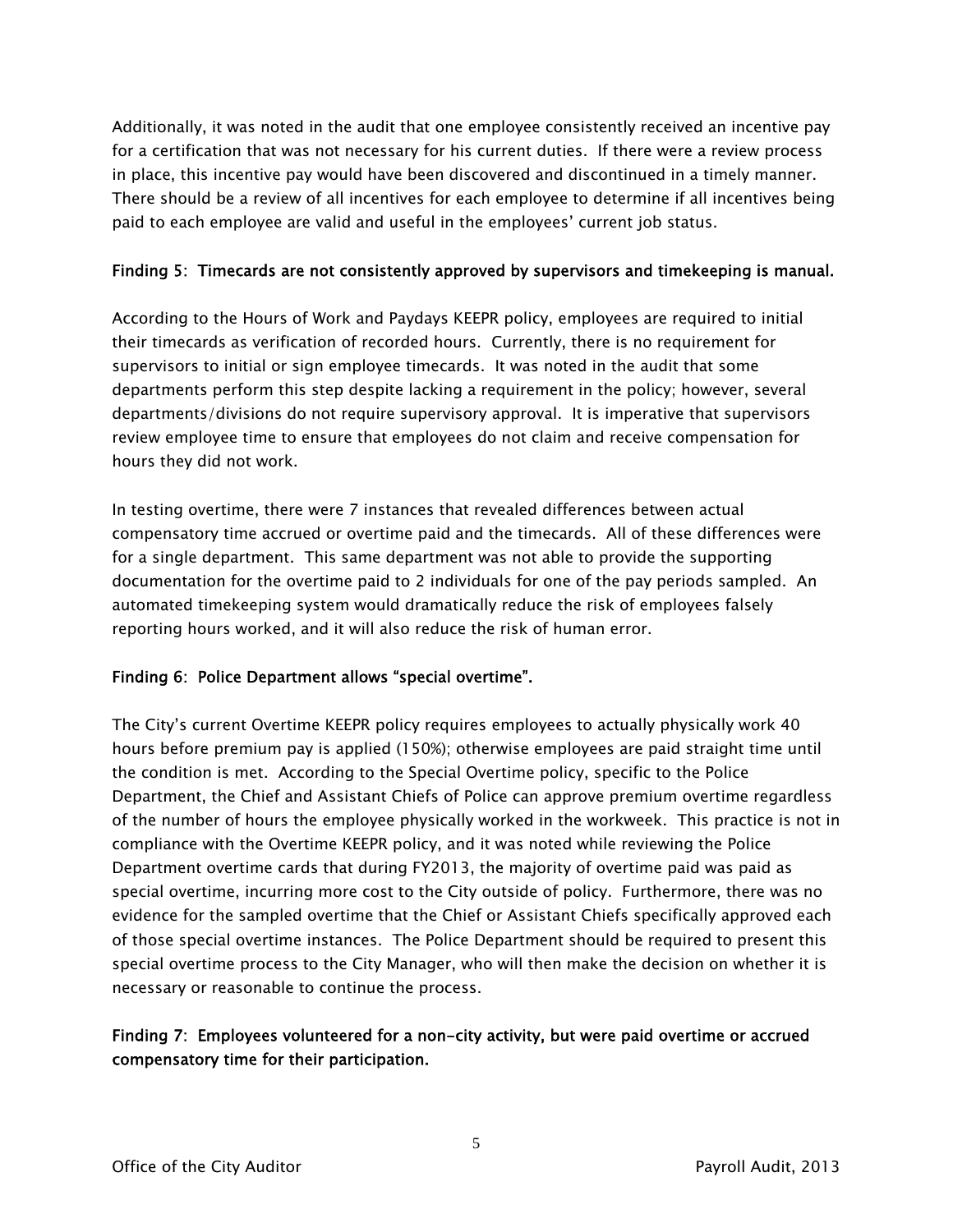Additionally, it was noted in the audit that one employee consistently received an incentive pay for a certification that was not necessary for his current duties. If there were a review process in place, this incentive pay would have been discovered and discontinued in a timely manner. There should be a review of all incentives for each employee to determine if all incentives being paid to each employee are valid and useful in the employees' current job status.

#### Finding 5: Timecards are not consistently approved by supervisors and timekeeping is manual.

According to the Hours of Work and Paydays KEEPR policy, employees are required to initial their timecards as verification of recorded hours. Currently, there is no requirement for supervisors to initial or sign employee timecards. It was noted in the audit that some departments perform this step despite lacking a requirement in the policy; however, several departments/divisions do not require supervisory approval. It is imperative that supervisors review employee time to ensure that employees do not claim and receive compensation for hours they did not work.

In testing overtime, there were 7 instances that revealed differences between actual compensatory time accrued or overtime paid and the timecards. All of these differences were for a single department. This same department was not able to provide the supporting documentation for the overtime paid to 2 individuals for one of the pay periods sampled. An automated timekeeping system would dramatically reduce the risk of employees falsely reporting hours worked, and it will also reduce the risk of human error.

#### Finding 6: Police Department allows "special overtime".

The City's current Overtime KEEPR policy requires employees to actually physically work 40 hours before premium pay is applied (150%); otherwise employees are paid straight time until the condition is met. According to the Special Overtime policy, specific to the Police Department, the Chief and Assistant Chiefs of Police can approve premium overtime regardless of the number of hours the employee physically worked in the workweek. This practice is not in compliance with the Overtime KEEPR policy, and it was noted while reviewing the Police Department overtime cards that during FY2013, the majority of overtime paid was paid as special overtime, incurring more cost to the City outside of policy. Furthermore, there was no evidence for the sampled overtime that the Chief or Assistant Chiefs specifically approved each of those special overtime instances. The Police Department should be required to present this special overtime process to the City Manager, who will then make the decision on whether it is necessary or reasonable to continue the process.

#### Finding 7: Employees volunteered for a non-city activity, but were paid overtime or accrued compensatory time for their participation.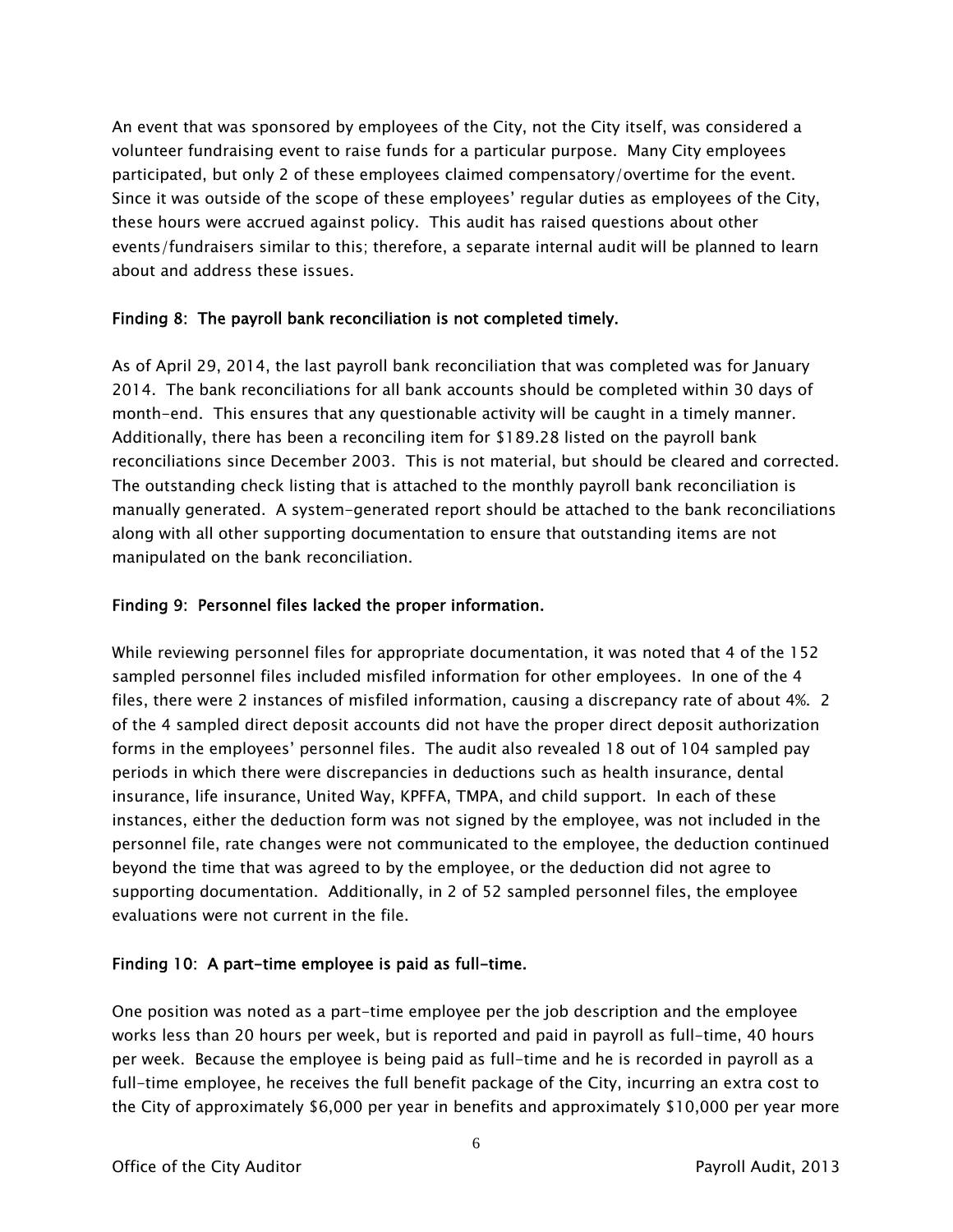An event that was sponsored by employees of the City, not the City itself, was considered a volunteer fundraising event to raise funds for a particular purpose. Many City employees participated, but only 2 of these employees claimed compensatory/overtime for the event. Since it was outside of the scope of these employees' regular duties as employees of the City, these hours were accrued against policy. This audit has raised questions about other events/fundraisers similar to this; therefore, a separate internal audit will be planned to learn about and address these issues.

#### Finding 8: The payroll bank reconciliation is not completed timely.

As of April 29, 2014, the last payroll bank reconciliation that was completed was for January 2014. The bank reconciliations for all bank accounts should be completed within 30 days of month-end. This ensures that any questionable activity will be caught in a timely manner. Additionally, there has been a reconciling item for \$189.28 listed on the payroll bank reconciliations since December 2003. This is not material, but should be cleared and corrected. The outstanding check listing that is attached to the monthly payroll bank reconciliation is manually generated. A system-generated report should be attached to the bank reconciliations along with all other supporting documentation to ensure that outstanding items are not manipulated on the bank reconciliation.

#### Finding 9: Personnel files lacked the proper information.

While reviewing personnel files for appropriate documentation, it was noted that 4 of the 152 sampled personnel files included misfiled information for other employees. In one of the 4 files, there were 2 instances of misfiled information, causing a discrepancy rate of about 4%. 2 of the 4 sampled direct deposit accounts did not have the proper direct deposit authorization forms in the employees' personnel files. The audit also revealed 18 out of 104 sampled pay periods in which there were discrepancies in deductions such as health insurance, dental insurance, life insurance, United Way, KPFFA, TMPA, and child support. In each of these instances, either the deduction form was not signed by the employee, was not included in the personnel file, rate changes were not communicated to the employee, the deduction continued beyond the time that was agreed to by the employee, or the deduction did not agree to supporting documentation. Additionally, in 2 of 52 sampled personnel files, the employee evaluations were not current in the file.

#### Finding 10: A part-time employee is paid as full-time.

One position was noted as a part-time employee per the job description and the employee works less than 20 hours per week, but is reported and paid in payroll as full-time, 40 hours per week. Because the employee is being paid as full-time and he is recorded in payroll as a full-time employee, he receives the full benefit package of the City, incurring an extra cost to the City of approximately \$6,000 per year in benefits and approximately \$10,000 per year more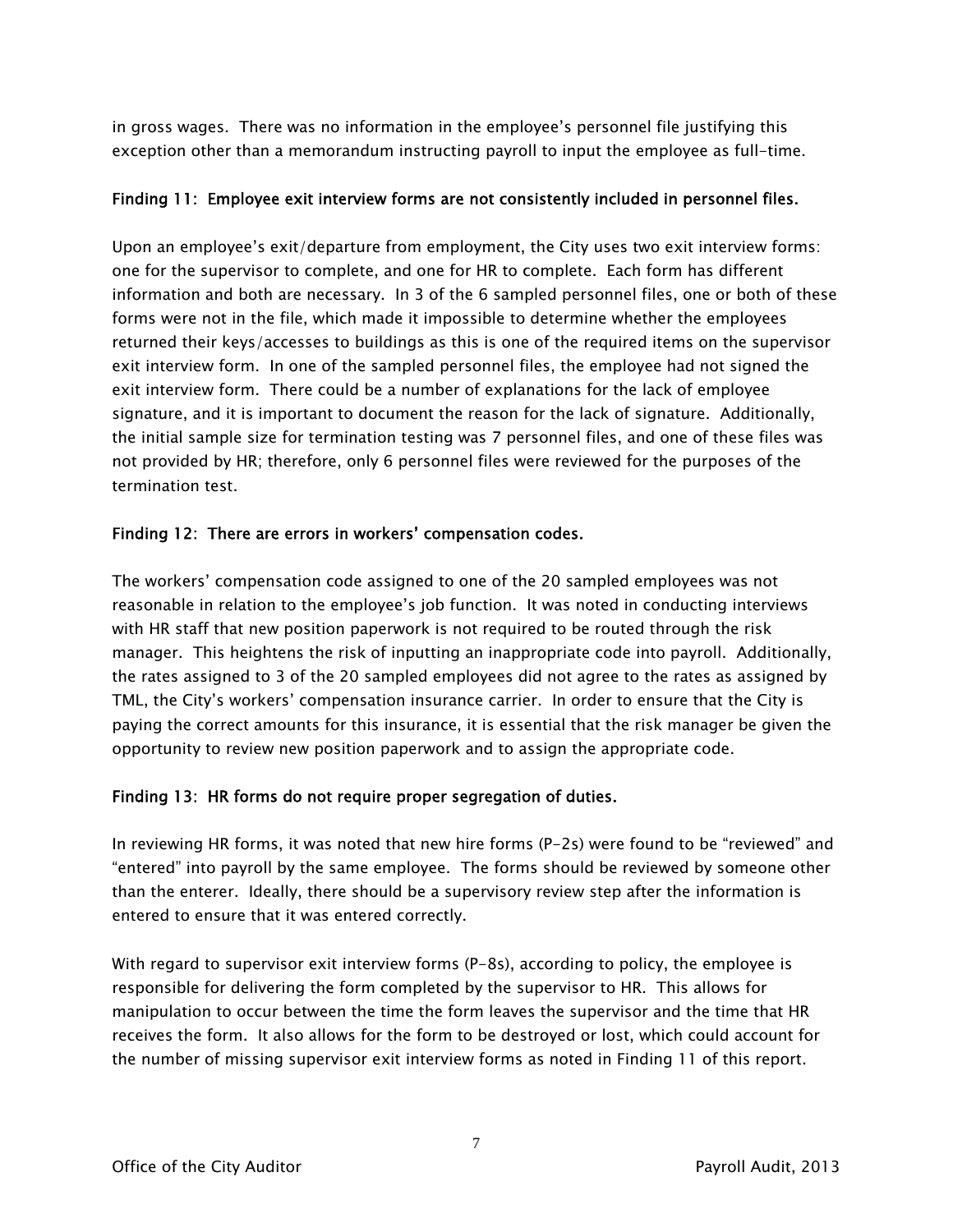in gross wages. There was no information in the employee's personnel file justifying this exception other than a memorandum instructing payroll to input the employee as full-time.

#### Finding 11: Employee exit interview forms are not consistently included in personnel files.

Upon an employee's exit/departure from employment, the City uses two exit interview forms: one for the supervisor to complete, and one for HR to complete. Each form has different information and both are necessary. In 3 of the 6 sampled personnel files, one or both of these forms were not in the file, which made it impossible to determine whether the employees returned their keys/accesses to buildings as this is one of the required items on the supervisor exit interview form. In one of the sampled personnel files, the employee had not signed the exit interview form. There could be a number of explanations for the lack of employee signature, and it is important to document the reason for the lack of signature. Additionally, the initial sample size for termination testing was 7 personnel files, and one of these files was not provided by HR; therefore, only 6 personnel files were reviewed for the purposes of the termination test.

#### Finding 12: There are errors in workers' compensation codes.

The workers' compensation code assigned to one of the 20 sampled employees was not reasonable in relation to the employee's job function. It was noted in conducting interviews with HR staff that new position paperwork is not required to be routed through the risk manager. This heightens the risk of inputting an inappropriate code into payroll. Additionally, the rates assigned to 3 of the 20 sampled employees did not agree to the rates as assigned by TML, the City's workers' compensation insurance carrier. In order to ensure that the City is paying the correct amounts for this insurance, it is essential that the risk manager be given the opportunity to review new position paperwork and to assign the appropriate code.

#### Finding 13: HR forms do not require proper segregation of duties.

In reviewing HR forms, it was noted that new hire forms (P-2s) were found to be "reviewed" and "entered" into payroll by the same employee. The forms should be reviewed by someone other than the enterer. Ideally, there should be a supervisory review step after the information is entered to ensure that it was entered correctly.

With regard to supervisor exit interview forms (P-8s), according to policy, the employee is responsible for delivering the form completed by the supervisor to HR. This allows for manipulation to occur between the time the form leaves the supervisor and the time that HR receives the form. It also allows for the form to be destroyed or lost, which could account for the number of missing supervisor exit interview forms as noted in Finding 11 of this report.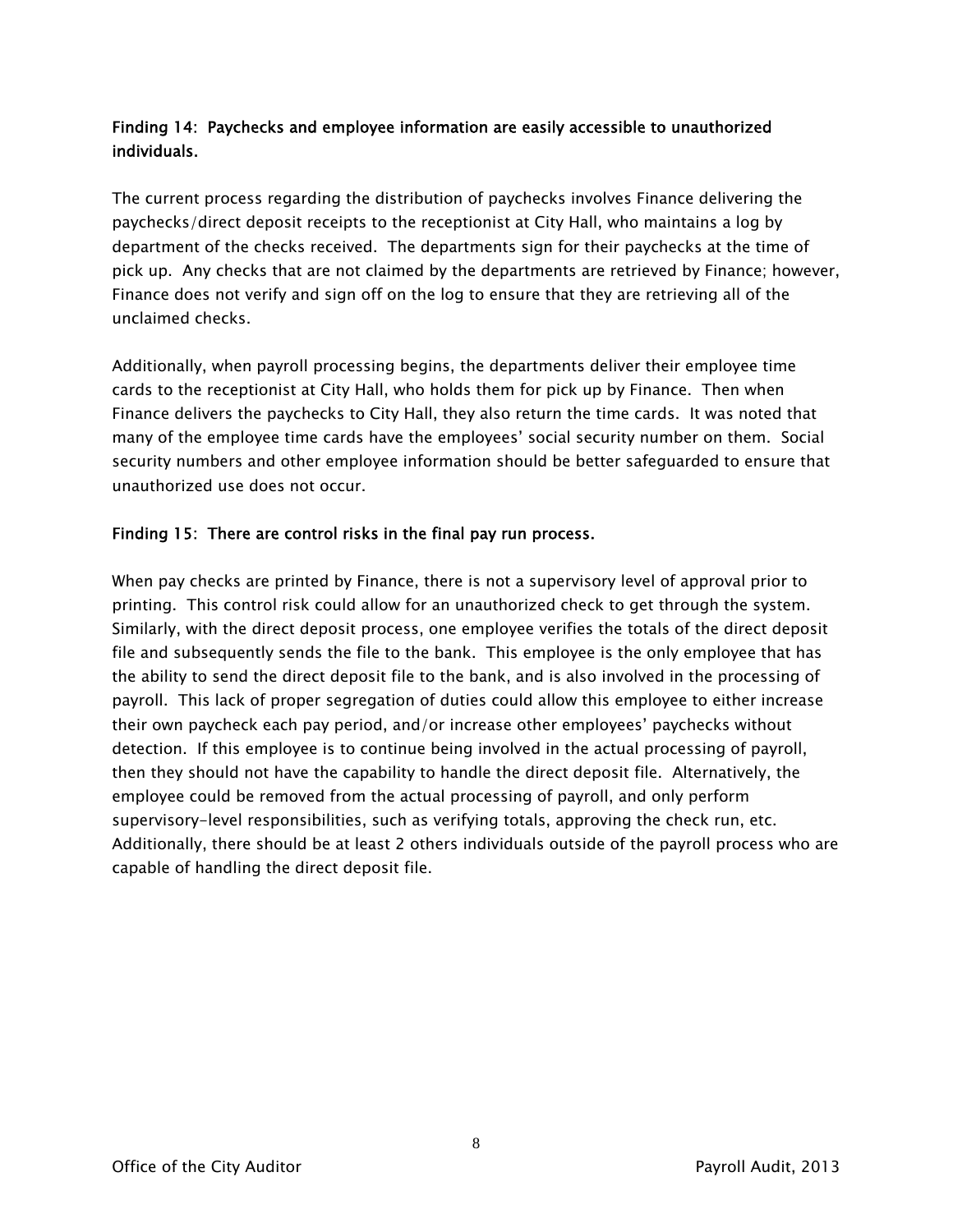### Finding 14: Paychecks and employee information are easily accessible to unauthorized individuals.

The current process regarding the distribution of paychecks involves Finance delivering the paychecks/direct deposit receipts to the receptionist at City Hall, who maintains a log by department of the checks received. The departments sign for their paychecks at the time of pick up. Any checks that are not claimed by the departments are retrieved by Finance; however, Finance does not verify and sign off on the log to ensure that they are retrieving all of the unclaimed checks.

Additionally, when payroll processing begins, the departments deliver their employee time cards to the receptionist at City Hall, who holds them for pick up by Finance. Then when Finance delivers the paychecks to City Hall, they also return the time cards. It was noted that many of the employee time cards have the employees' social security number on them. Social security numbers and other employee information should be better safeguarded to ensure that unauthorized use does not occur.

#### Finding 15: There are control risks in the final pay run process.

When pay checks are printed by Finance, there is not a supervisory level of approval prior to printing. This control risk could allow for an unauthorized check to get through the system. Similarly, with the direct deposit process, one employee verifies the totals of the direct deposit file and subsequently sends the file to the bank. This employee is the only employee that has the ability to send the direct deposit file to the bank, and is also involved in the processing of payroll. This lack of proper segregation of duties could allow this employee to either increase their own paycheck each pay period, and/or increase other employees' paychecks without detection. If this employee is to continue being involved in the actual processing of payroll, then they should not have the capability to handle the direct deposit file. Alternatively, the employee could be removed from the actual processing of payroll, and only perform supervisory-level responsibilities, such as verifying totals, approving the check run, etc. Additionally, there should be at least 2 others individuals outside of the payroll process who are capable of handling the direct deposit file.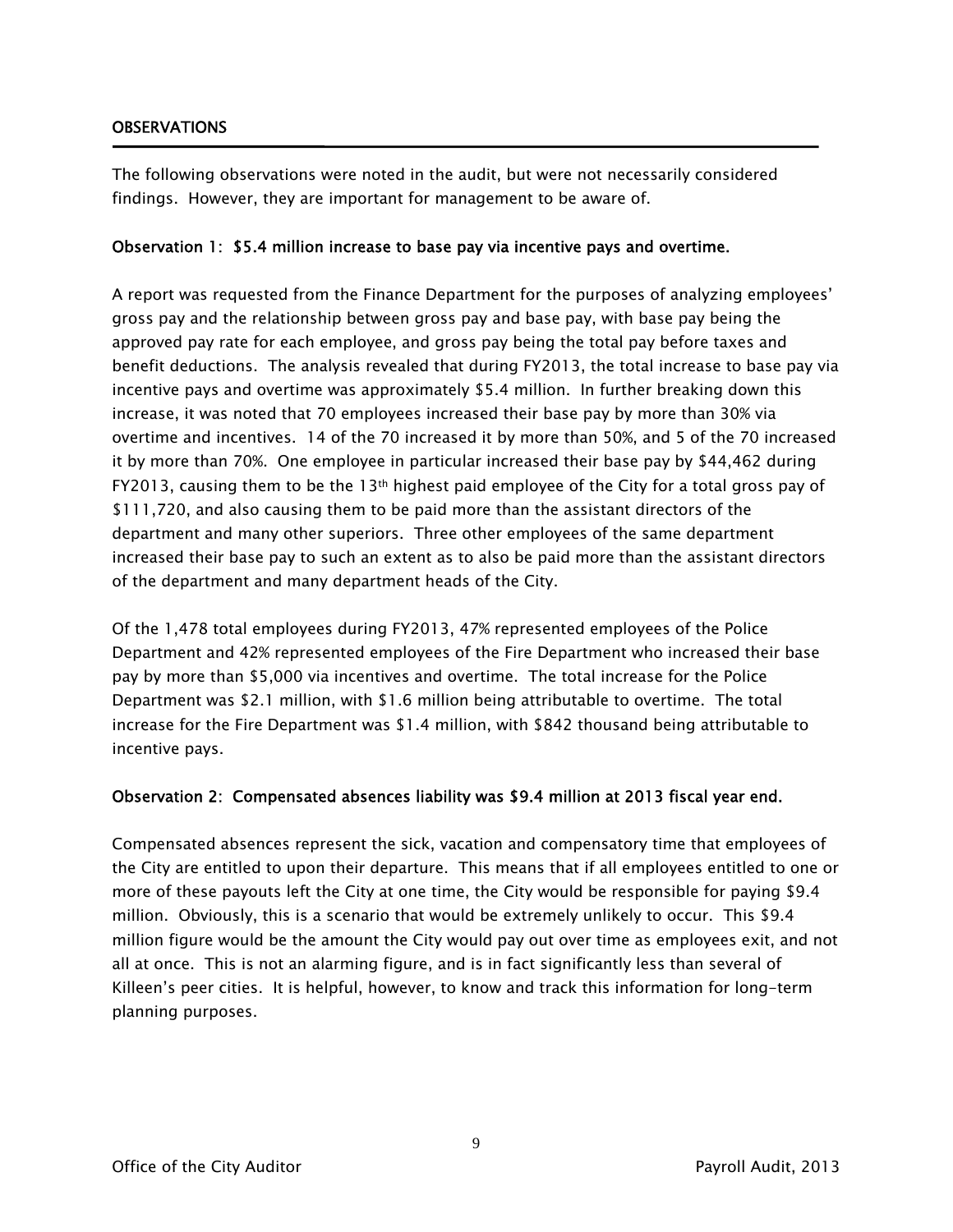#### **OBSERVATIONS**

The following observations were noted in the audit, but were not necessarily considered findings. However, they are important for management to be aware of.

#### Observation 1: \$5.4 million increase to base pay via incentive pays and overtime.

A report was requested from the Finance Department for the purposes of analyzing employees' gross pay and the relationship between gross pay and base pay, with base pay being the approved pay rate for each employee, and gross pay being the total pay before taxes and benefit deductions. The analysis revealed that during FY2013, the total increase to base pay via incentive pays and overtime was approximately \$5.4 million. In further breaking down this increase, it was noted that 70 employees increased their base pay by more than 30% via overtime and incentives. 14 of the 70 increased it by more than 50%, and 5 of the 70 increased it by more than 70%. One employee in particular increased their base pay by \$44,462 during FY2013, causing them to be the 13<sup>th</sup> highest paid employee of the City for a total gross pay of \$111,720, and also causing them to be paid more than the assistant directors of the department and many other superiors. Three other employees of the same department increased their base pay to such an extent as to also be paid more than the assistant directors of the department and many department heads of the City.

Of the 1,478 total employees during FY2013, 47% represented employees of the Police Department and 42% represented employees of the Fire Department who increased their base pay by more than \$5,000 via incentives and overtime. The total increase for the Police Department was \$2.1 million, with \$1.6 million being attributable to overtime. The total increase for the Fire Department was \$1.4 million, with \$842 thousand being attributable to incentive pays.

#### Observation 2: Compensated absences liability was \$9.4 million at 2013 fiscal year end.

Compensated absences represent the sick, vacation and compensatory time that employees of the City are entitled to upon their departure. This means that if all employees entitled to one or more of these payouts left the City at one time, the City would be responsible for paying \$9.4 million. Obviously, this is a scenario that would be extremely unlikely to occur. This \$9.4 million figure would be the amount the City would pay out over time as employees exit, and not all at once. This is not an alarming figure, and is in fact significantly less than several of Killeen's peer cities. It is helpful, however, to know and track this information for long-term planning purposes.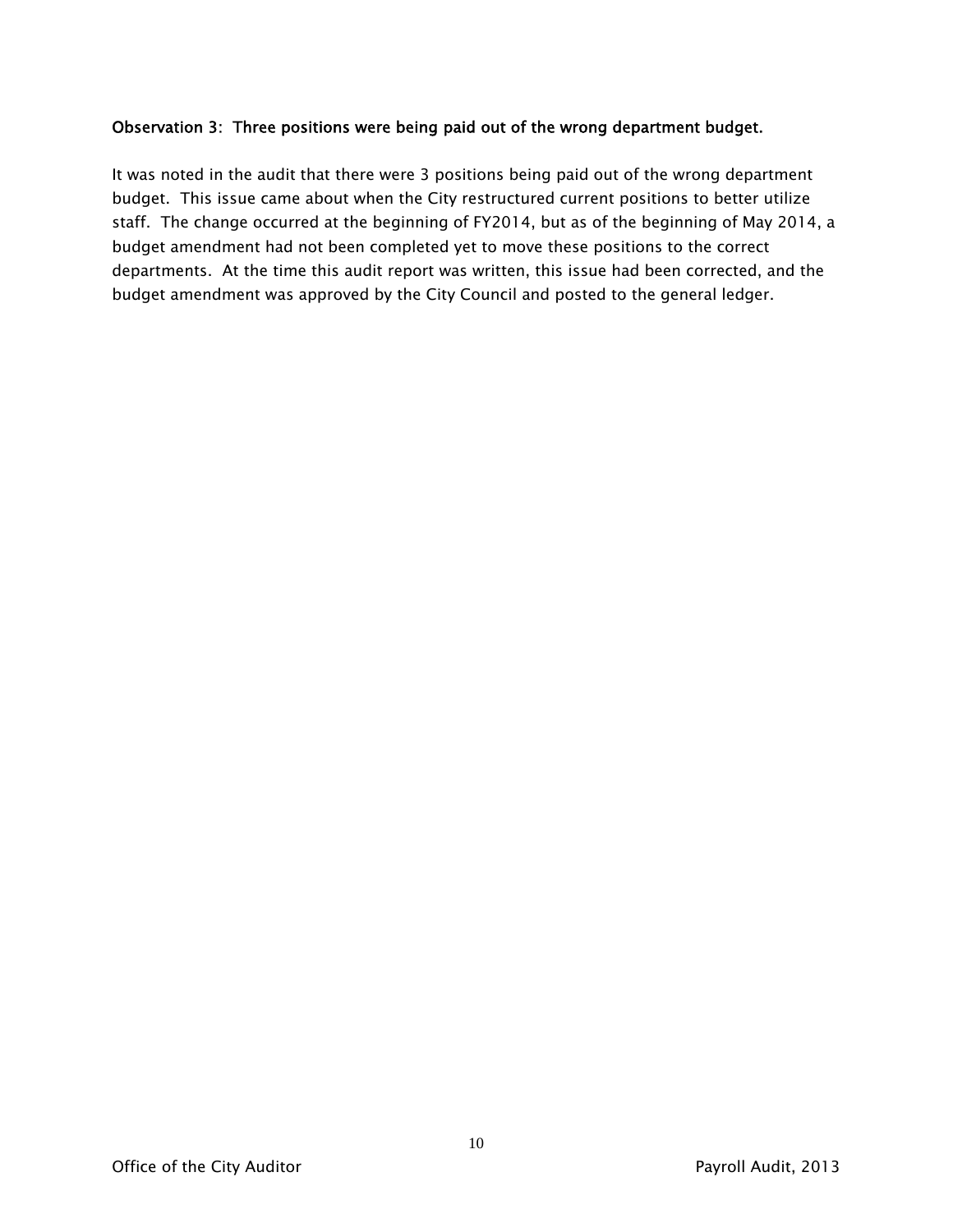#### Observation 3: Three positions were being paid out of the wrong department budget.

It was noted in the audit that there were 3 positions being paid out of the wrong department budget. This issue came about when the City restructured current positions to better utilize staff. The change occurred at the beginning of FY2014, but as of the beginning of May 2014, a budget amendment had not been completed yet to move these positions to the correct departments. At the time this audit report was written, this issue had been corrected, and the budget amendment was approved by the City Council and posted to the general ledger.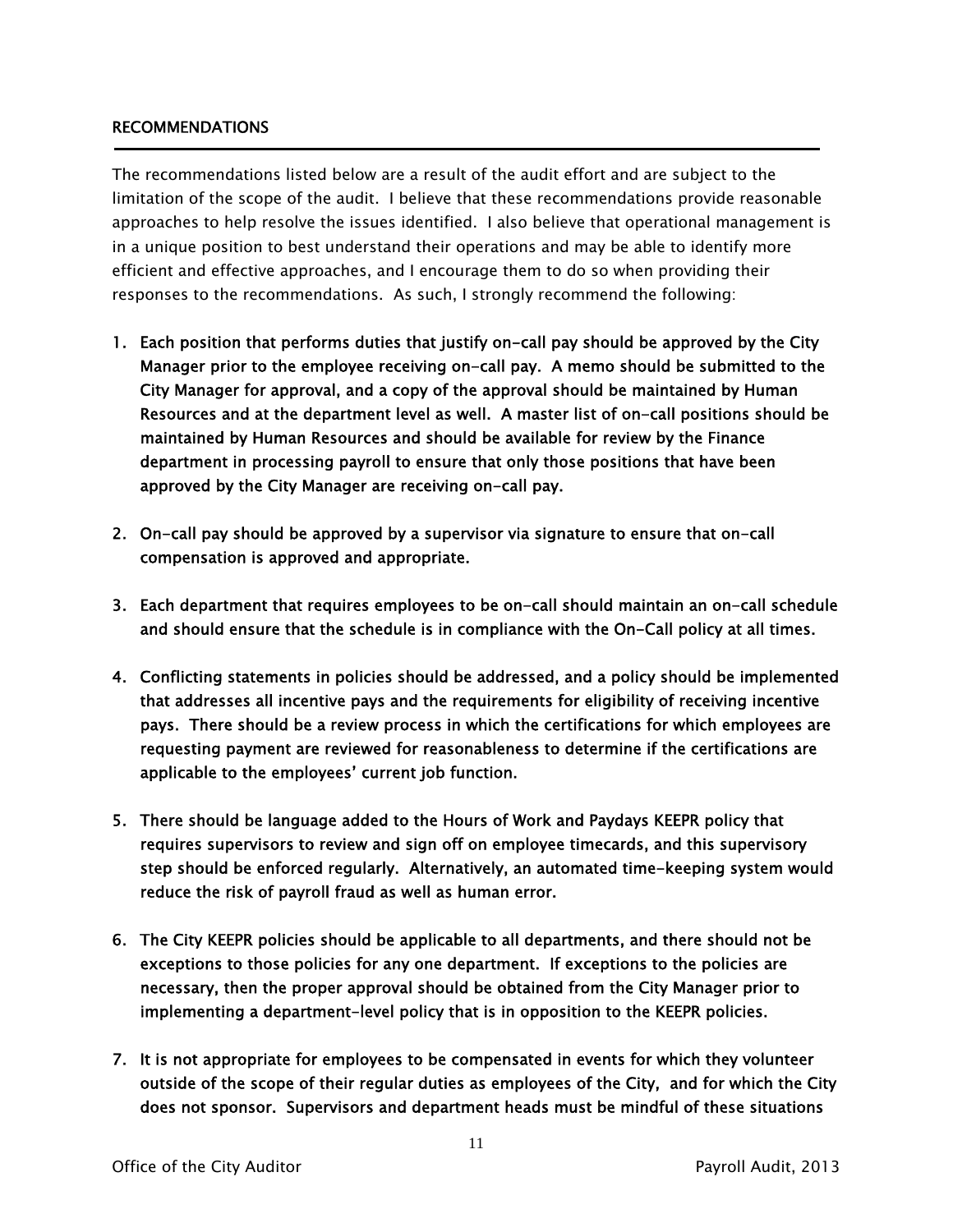#### RECOMMENDATIONS

The recommendations listed below are a result of the audit effort and are subject to the limitation of the scope of the audit. I believe that these recommendations provide reasonable approaches to help resolve the issues identified. I also believe that operational management is in a unique position to best understand their operations and may be able to identify more efficient and effective approaches, and I encourage them to do so when providing their responses to the recommendations. As such, I strongly recommend the following:

- 1. Each position that performs duties that justify on-call pay should be approved by the City Manager prior to the employee receiving on-call pay. A memo should be submitted to the City Manager for approval, and a copy of the approval should be maintained by Human Resources and at the department level as well. A master list of on-call positions should be maintained by Human Resources and should be available for review by the Finance department in processing payroll to ensure that only those positions that have been approved by the City Manager are receiving on-call pay.
- 2. On-call pay should be approved by a supervisor via signature to ensure that on-call compensation is approved and appropriate.
- 3. Each department that requires employees to be on-call should maintain an on-call schedule and should ensure that the schedule is in compliance with the On-Call policy at all times.
- 4. Conflicting statements in policies should be addressed, and a policy should be implemented that addresses all incentive pays and the requirements for eligibility of receiving incentive pays. There should be a review process in which the certifications for which employees are requesting payment are reviewed for reasonableness to determine if the certifications are applicable to the employees' current job function.
- 5. There should be language added to the Hours of Work and Paydays KEEPR policy that requires supervisors to review and sign off on employee timecards, and this supervisory step should be enforced regularly. Alternatively, an automated time-keeping system would reduce the risk of payroll fraud as well as human error.
- 6. The City KEEPR policies should be applicable to all departments, and there should not be exceptions to those policies for any one department. If exceptions to the policies are necessary, then the proper approval should be obtained from the City Manager prior to implementing a department-level policy that is in opposition to the KEEPR policies.
- 7. It is not appropriate for employees to be compensated in events for which they volunteer outside of the scope of their regular duties as employees of the City, and for which the City does not sponsor. Supervisors and department heads must be mindful of these situations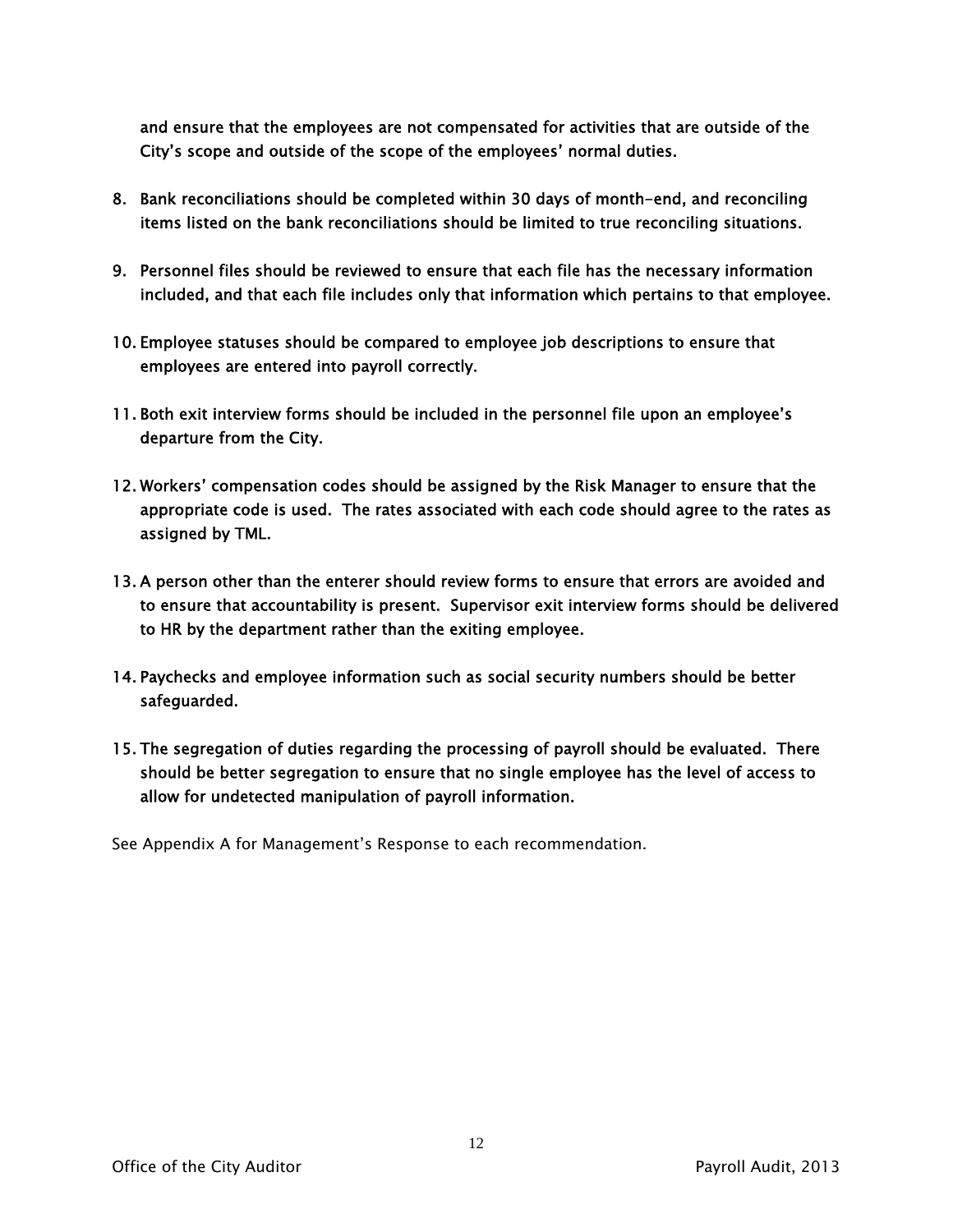and ensure that the employees are not compensated for activities that are outside of the City's scope and outside of the scope of the employees' normal duties.

- 8. Bank reconciliations should be completed within 30 days of month-end, and reconciling items listed on the bank reconciliations should be limited to true reconciling situations.
- 9. Personnel files should be reviewed to ensure that each file has the necessary information included, and that each file includes only that information which pertains to that employee.
- 10. Employee statuses should be compared to employee job descriptions to ensure that employees are entered into payroll correctly.
- 11. Both exit interview forms should be included in the personnel file upon an employee's departure from the City.
- 12. Workers' compensation codes should be assigned by the Risk Manager to ensure that the appropriate code is used. The rates associated with each code should agree to the rates as assigned by TML.
- 13. A person other than the enterer should review forms to ensure that errors are avoided and to ensure that accountability is present. Supervisor exit interview forms should be delivered to HR by the department rather than the exiting employee.
- 14. Paychecks and employee information such as social security numbers should be better safeguarded.
- 15. The segregation of duties regarding the processing of payroll should be evaluated. There should be better segregation to ensure that no single employee has the level of access to allow for undetected manipulation of payroll information.

See Appendix A for Management's Response to each recommendation.